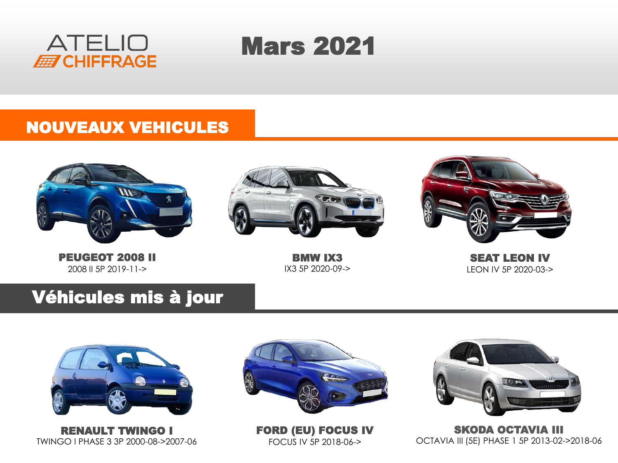

# Mars 2021

#### NOUVEAUX VEHICULES



PEUGEOT 2008 II 2008 II 5P 2019-11->



BMW IX3 IX3 5P 2020-09->



SEAT LEON IV LEON IV 5P 2020-03->

### Véhicules mis à jour



RENAULT TWINGO I TWINGO I PHASE 3 3P 2000-08->2007-06



FORD (EU) FOCUS IV FOCUS IV 5P 2018-06->



SKODA OCTAVIA III OCTAVIA III (5E) PHASE 1 5P 2013-02->2018-06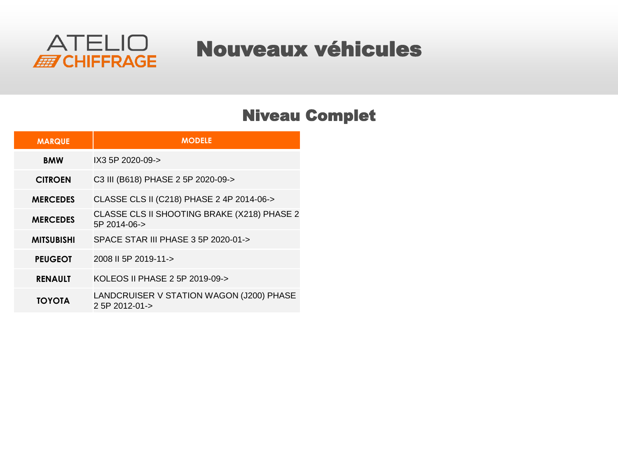

### Nouveaux véhicules

#### Niveau Complet

| <b>MARQUE</b>     | <b>MODELE</b>                                                |
|-------------------|--------------------------------------------------------------|
| <b>BMW</b>        | IX3 5P 2020-09->                                             |
| <b>CITROEN</b>    | C3 III (B618) PHASE 2 5P 2020-09->                           |
| <b>MERCEDES</b>   | CLASSE CLS II (C218) PHASE 2 4P 2014-06->                    |
| <b>MERCEDES</b>   | CLASSE CLS II SHOOTING BRAKE (X218) PHASE 2<br>5P 2014-06->  |
| <b>MITSUBISHI</b> | SPACE STAR III PHASE 3 5P 2020-01->                          |
| <b>PEUGEOT</b>    | 2008 II 5P 2019-11->                                         |
| <b>RENAULT</b>    | KOLEOS II PHASE 2 5P 2019-09->                               |
| ΤΟΥΟΤΑ            | LANDCRUISER V STATION WAGON (J200) PHASE<br>$2.5P$ 2012-01-> |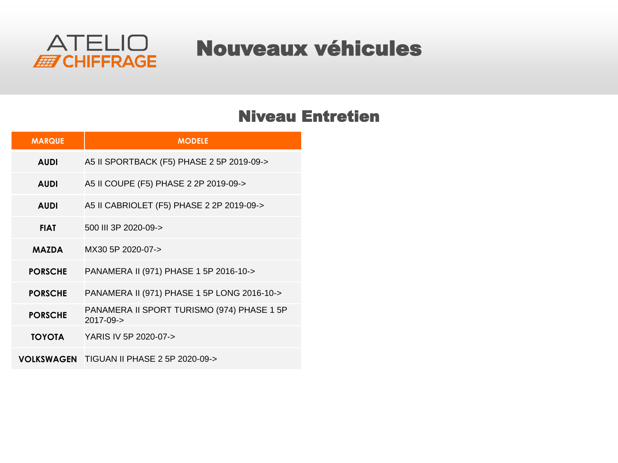

### Nouveaux véhicules

#### Niveau Entretien

| <b>MARQUE</b>  | <b>MODELE</b>                                           |
|----------------|---------------------------------------------------------|
| <b>AUDI</b>    | A5 II SPORTBACK (F5) PHASE 2 5P 2019-09->               |
| <b>AUDI</b>    | A5 II COUPE (F5) PHASE 2 2P 2019-09->                   |
| <b>AUDI</b>    | A5 II CABRIOLET (F5) PHASE 2 2P 2019-09->               |
| <b>FIAT</b>    | 500 III 3P 2020-09->                                    |
| <b>MAZDA</b>   | MX30 5P 2020-07->                                       |
| <b>PORSCHE</b> | PANAMERA II (971) PHASE 1 5P 2016-10->                  |
| <b>PORSCHE</b> | PANAMERA II (971) PHASE 1 5P LONG 2016-10->             |
| <b>PORSCHE</b> | PANAMERA II SPORT TURISMO (974) PHASE 1 5P<br>2017-09-> |
| <b>TOYOTA</b>  | YARIS IV 5P 2020-07->                                   |
|                | VOLKSWAGEN TIGUAN II PHASE 2 5P 2020-09->               |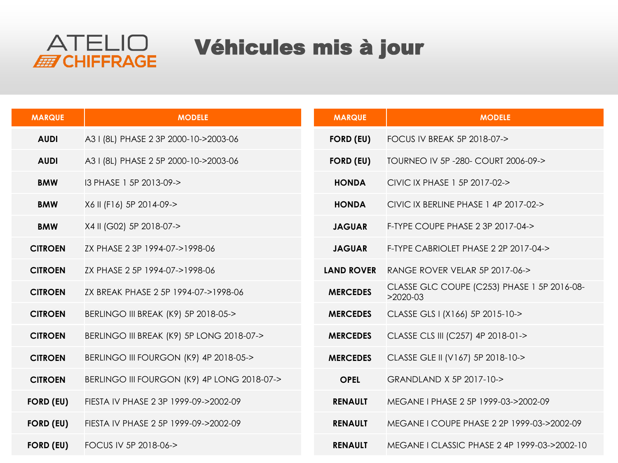

### Véhicules mis à jour

| <b>MARQUE</b>    | <b>MODELE</b>                               | <b>MARQUE</b>     | <b>MODELE</b>                                             |
|------------------|---------------------------------------------|-------------------|-----------------------------------------------------------|
| <b>AUDI</b>      | A3 I (8L) PHASE 2 3P 2000-10->2003-06       | <b>FORD (EU)</b>  | FOCUS IV BREAK 5P 2018-07->                               |
| <b>AUDI</b>      | A3 I (8L) PHASE 2 5P 2000-10->2003-06       | <b>FORD (EU)</b>  | TOURNEO IV 5P - 280 - COURT 2006-09->                     |
| <b>BMW</b>       | I3 PHASE 1 5P 2013-09->                     | <b>HONDA</b>      | CIVIC IX PHASE 1 5P 2017-02->                             |
| <b>BMW</b>       | X6 II (F16) 5P 2014-09->                    | <b>HONDA</b>      | CIVIC IX BERLINE PHASE 1 4P 2017-02->                     |
| <b>BMW</b>       | X4 II (G02) 5P 2018-07->                    | <b>JAGUAR</b>     | F-TYPE COUPE PHASE 2 3P 2017-04->                         |
| <b>CITROEN</b>   | ZX PHASE 2 3P 1994-07->1998-06              | <b>JAGUAR</b>     | F-TYPE CABRIOLET PHASE 2 2P 2017-04->                     |
| <b>CITROEN</b>   | ZX PHASE 2 5P 1994-07->1998-06              | <b>LAND ROVER</b> | RANGE ROVER VELAR 5P 2017-06->                            |
| <b>CITROEN</b>   | ZX BREAK PHASE 2 5P 1994-07->1998-06        | <b>MERCEDES</b>   | CLASSE GLC COUPE (C253) PHASE 1 5P 2016-08-<br>$>2020-03$ |
| <b>CITROEN</b>   | BERLINGO III BREAK (K9) 5P 2018-05->        | <b>MERCEDES</b>   | CLASSE GLS I (X166) 5P 2015-10->                          |
| <b>CITROEN</b>   | BERLINGO III BREAK (K9) 5P LONG 2018-07->   | <b>MERCEDES</b>   | CLASSE CLS III (C257) 4P 2018-01->                        |
| <b>CITROEN</b>   | BERLINGO III FOURGON (K9) 4P 2018-05->      | <b>MERCEDES</b>   | CLASSE GLE II (V167) 5P 2018-10->                         |
| <b>CITROEN</b>   | BERLINGO III FOURGON (K9) 4P LONG 2018-07-> | <b>OPEL</b>       | GRANDLAND X 5P 2017-10->                                  |
| <b>FORD (EU)</b> | FIESTA IV PHASE 2 3P 1999-09->2002-09       | <b>RENAULT</b>    | MEGANE I PHASE 2 5P 1999-03->2002-09                      |
| <b>FORD (EU)</b> | FIESTA IV PHASE 2 5P 1999-09->2002-09       | <b>RENAULT</b>    | MEGANE I COUPE PHASE 2 2P 1999-03->2002-09                |
| <b>FORD (EU)</b> | FOCUS IV 5P 2018-06->                       | <b>RENAULT</b>    | MEGANE   CLASSIC PHASE 2 4P 1999-03->2002-10              |